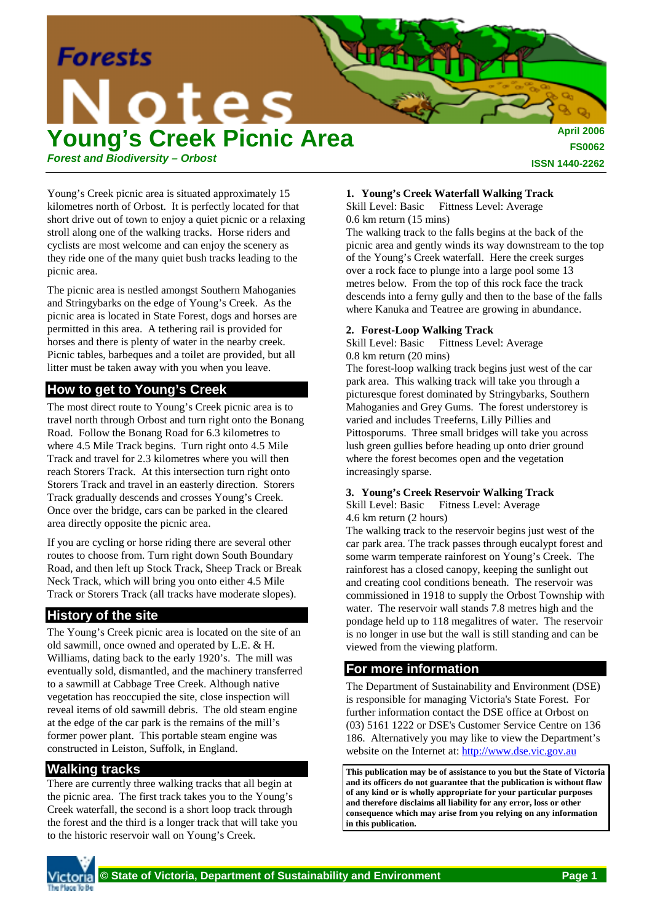

Young's Creek picnic area is situated approximately 15 kilometres north of Orbost. It is perfectly located for that short drive out of town to enjoy a quiet picnic or a relaxing stroll along one of the walking tracks. Horse riders and cyclists are most welcome and can enjoy the scenery as they ride one of the many quiet bush tracks leading to the picnic area.

The picnic area is nestled amongst Southern Mahoganies and Stringybarks on the edge of Young's Creek. As the picnic area is located in State Forest, dogs and horses are permitted in this area. A tethering rail is provided for horses and there is plenty of water in the nearby creek. Picnic tables, barbeques and a toilet are provided, but all litter must be taken away with you when you leave.

## **How to get to Young's Creek**

The most direct route to Young's Creek picnic area is to travel north through Orbost and turn right onto the Bonang Road. Follow the Bonang Road for 6.3 kilometres to where 4.5 Mile Track begins. Turn right onto 4.5 Mile Track and travel for 2.3 kilometres where you will then reach Storers Track. At this intersection turn right onto Storers Track and travel in an easterly direction. Storers Track gradually descends and crosses Young's Creek. Once over the bridge, cars can be parked in the cleared area directly opposite the picnic area.

If you are cycling or horse riding there are several other routes to choose from. Turn right down South Boundary Road, and then left up Stock Track, Sheep Track or Break Neck Track, which will bring you onto either 4.5 Mile Track or Storers Track (all tracks have moderate slopes).

# **History of the site**

The Young's Creek picnic area is located on the site of an old sawmill, once owned and operated by L.E. & H. Williams, dating back to the early 1920's. The mill was eventually sold, dismantled, and the machinery transferred to a sawmill at Cabbage Tree Creek. Although native vegetation has reoccupied the site, close inspection will reveal items of old sawmill debris. The old steam engine at the edge of the car park is the remains of the mill's former power plant. This portable steam engine was constructed in Leiston, Suffolk, in England.

## **Walking tracks**

There are currently three walking tracks that all begin at the picnic area. The first track takes you to the Young's Creek waterfall, the second is a short loop track through the forest and the third is a longer track that will take you to the historic reservoir wall on Young's Creek.

#### **1. Young's Creek Waterfall Walking Track** Skill Level: Basic Fittness Level: Average

0.6 km return (15 mins)

The walking track to the falls begins at the back of the picnic area and gently winds its way downstream to the top of the Young's Creek waterfall. Here the creek surges over a rock face to plunge into a large pool some 13 metres below. From the top of this rock face the track descends into a ferny gully and then to the base of the falls where Kanuka and Teatree are growing in abundance.

## **2. Forest-Loop Walking Track**

Skill Level: Basic Fittness Level: Average 0.8 km return (20 mins)

The forest-loop walking track begins just west of the car park area. This walking track will take you through a picturesque forest dominated by Stringybarks, Southern Mahoganies and Grey Gums. The forest understorey is varied and includes Treeferns, Lilly Pillies and Pittosporums. Three small bridges will take you across lush green gullies before heading up onto drier ground where the forest becomes open and the vegetation increasingly sparse.

### **3. Young's Creek Reservoir Walking Track**

Skill Level: Basic Fitness Level: Average 4.6 km return (2 hours)

The walking track to the reservoir begins just west of the car park area. The track passes through eucalypt forest and some warm temperate rainforest on Young's Creek. The rainforest has a closed canopy, keeping the sunlight out and creating cool conditions beneath. The reservoir was commissioned in 1918 to supply the Orbost Township with water. The reservoir wall stands 7.8 metres high and the pondage held up to 118 megalitres of water. The reservoir is no longer in use but the wall is still standing and can be viewed from the viewing platform.

## **For more information**

The Department of Sustainability and Environment (DSE) is responsible for managing Victoria's State Forest. For further information contact the DSE office at Orbost on (03) 5161 1222 or DSE's Customer Service Centre on 136 186. Alternatively you may like to view the Department's website on the Internet at: http://www.dse.vic.gov.au

**This publication may be of assistance to you but the State of Victoria and its officers do not guarantee that the publication is without flaw of any kind or is wholly appropriate for your particular purposes and therefore disclaims all liability for any error, loss or other consequence which may arise from you relying on any information in this publication.**